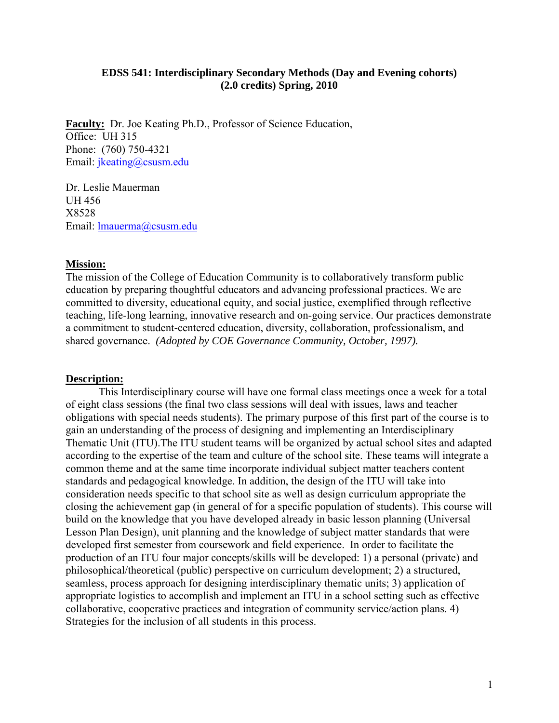### **EDSS 541: Interdisciplinary Secondary Methods (Day and Evening cohorts) (2.0 credits) Spring, 2010**

**Faculty:** Dr. Joe Keating Ph.D., Professor of Science Education, Office: UH 315 Phone: (760) 750-4321 Email: jkeating@csusm.edu

Dr. Leslie Mauerman UH 456 X8528 Email: lmauerma@csusm.edu

### **Mission:**

The mission of the College of Education Community is to collaboratively transform public education by preparing thoughtful educators and advancing professional practices. We are committed to diversity, educational equity, and social justice, exemplified through reflective teaching, life-long learning, innovative research and on-going service. Our practices demonstrate a commitment to student-centered education, diversity, collaboration, professionalism, and shared governance. *(Adopted by COE Governance Community, October, 1997).* 

#### **Description:**

This Interdisciplinary course will have one formal class meetings once a week for a total of eight class sessions (the final two class sessions will deal with issues, laws and teacher obligations with special needs students). The primary purpose of this first part of the course is to gain an understanding of the process of designing and implementing an Interdisciplinary Thematic Unit (ITU).The ITU student teams will be organized by actual school sites and adapted according to the expertise of the team and culture of the school site. These teams will integrate a common theme and at the same time incorporate individual subject matter teachers content standards and pedagogical knowledge. In addition, the design of the ITU will take into consideration needs specific to that school site as well as design curriculum appropriate the closing the achievement gap (in general of for a specific population of students). This course will build on the knowledge that you have developed already in basic lesson planning (Universal Lesson Plan Design), unit planning and the knowledge of subject matter standards that were developed first semester from coursework and field experience. In order to facilitate the production of an ITU four major concepts/skills will be developed: 1) a personal (private) and philosophical/theoretical (public) perspective on curriculum development; 2) a structured, seamless, process approach for designing interdisciplinary thematic units; 3) application of appropriate logistics to accomplish and implement an ITU in a school setting such as effective collaborative, cooperative practices and integration of community service/action plans. 4) Strategies for the inclusion of all students in this process.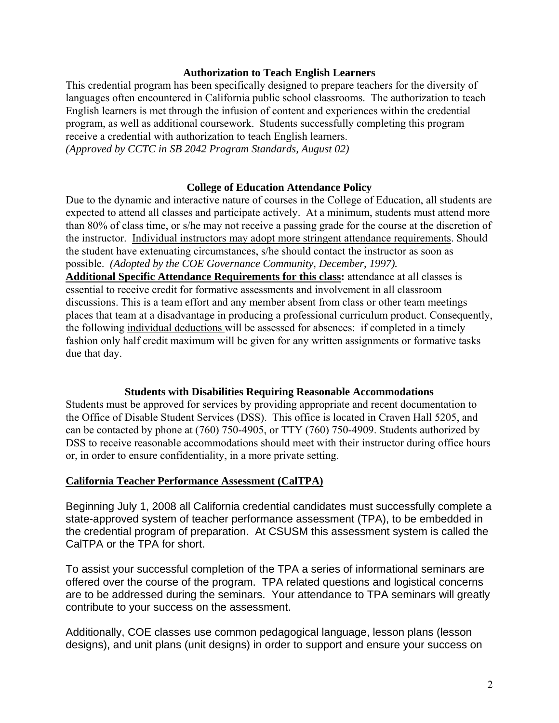#### **Authorization to Teach English Learners**

 *(Approved by CCTC in SB 2042 Program Standards, August 02)* This credential program has been specifically designed to prepare teachers for the diversity of languages often encountered in California public school classrooms. The authorization to teach English learners is met through the infusion of content and experiences within the credential program, as well as additional coursework. Students successfully completing this program receive a credential with authorization to teach English learners.

### **College of Education Attendance Policy**

 possible. *(Adopted by the COE Governance Community, December, 1997).* Due to the dynamic and interactive nature of courses in the College of Education, all students are expected to attend all classes and participate actively. At a minimum, students must attend more than 80% of class time, or s/he may not receive a passing grade for the course at the discretion of the instructor. Individual instructors may adopt more stringent attendance requirements. Should the student have extenuating circumstances, s/he should contact the instructor as soon as

**Additional Specific Attendance Requirements for this class:** attendance at all classes is essential to receive credit for formative assessments and involvement in all classroom discussions. This is a team effort and any member absent from class or other team meetings places that team at a disadvantage in producing a professional curriculum product. Consequently, the following individual deductions will be assessed for absences: if completed in a timely fashion only half credit maximum will be given for any written assignments or formative tasks due that day.

#### **Students with Disabilities Requiring Reasonable Accommodations**

Students must be approved for services by providing appropriate and recent documentation to the Office of Disable Student Services (DSS). This office is located in Craven Hall 5205, and can be contacted by phone at (760) 750-4905, or TTY (760) 750-4909. Students authorized by DSS to receive reasonable accommodations should meet with their instructor during office hours or, in order to ensure confidentiality, in a more private setting.

#### **California Teacher Performance Assessment (CalTPA)**

Beginning July 1, 2008 all California credential candidates must successfully complete a state-approved system of teacher performance assessment (TPA), to be embedded in the credential program of preparation. At CSUSM this assessment system is called the CalTPA or the TPA for short.

To assist your successful completion of the TPA a series of informational seminars are offered over the course of the program. TPA related questions and logistical concerns are to be addressed during the seminars. Your attendance to TPA seminars will greatly contribute to your success on the assessment.

Additionally, COE classes use common pedagogical language, lesson plans (lesson designs), and unit plans (unit designs) in order to support and ensure your success on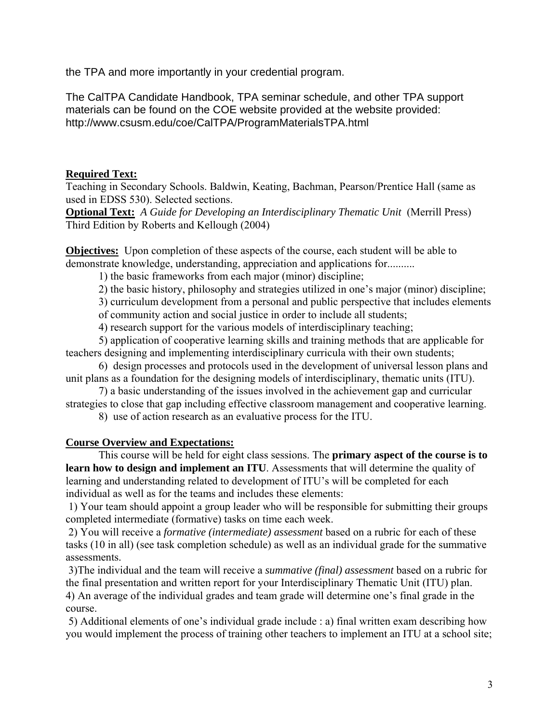the TPA and more importantly in your credential program.

The CalTPA Candidate Handbook, TPA seminar schedule, and other TPA support materials can be found on the COE website provided at the website provided: http://www.csusm.edu/coe/CalTPA/ProgramMaterialsTPA.html

### **Required Text:**

Teaching in Secondary Schools. Baldwin, Keating, Bachman, Pearson/Prentice Hall (same as used in EDSS 530). Selected sections.

 **Optional Text:** *A Guide for Developing an Interdisciplinary Thematic Unit* (Merrill Press) Third Edition by Roberts and Kellough (2004)

**Objectives:** Upon completion of these aspects of the course, each student will be able to demonstrate knowledge, understanding, appreciation and applications for..........

1) the basic frameworks from each major (minor) discipline;

2) the basic history, philosophy and strategies utilized in one's major (minor) discipline;

3) curriculum development from a personal and public perspective that includes elements

of community action and social justice in order to include all students;

4) research support for the various models of interdisciplinary teaching;

5) application of cooperative learning skills and training methods that are applicable for teachers designing and implementing interdisciplinary curricula with their own students;

6) design processes and protocols used in the development of universal lesson plans and unit plans as a foundation for the designing models of interdisciplinary, thematic units (ITU).

7) a basic understanding of the issues involved in the achievement gap and curricular strategies to close that gap including effective classroom management and cooperative learning.

8) use of action research as an evaluative process for the ITU.

### **Course Overview and Expectations:**

This course will be held for eight class sessions. The **primary aspect of the course is to learn how to design and implement an ITU**. Assessments that will determine the quality of learning and understanding related to development of ITU's will be completed for each individual as well as for the teams and includes these elements:

 1) Your team should appoint a group leader who will be responsible for submitting their groups completed intermediate (formative) tasks on time each week.

2) You will receive a *formative (intermediate) assessment* based on a rubric for each of these tasks (10 in all) (see task completion schedule) as well as an individual grade for the summative assessments.

 3)The individual and the team will receive a *summative (final) assessment* based on a rubric for the final presentation and written report for your Interdisciplinary Thematic Unit (ITU) plan. 4) An average of the individual grades and team grade will determine one's final grade in the course.

 5) Additional elements of one's individual grade include : a) final written exam describing how you would implement the process of training other teachers to implement an ITU at a school site;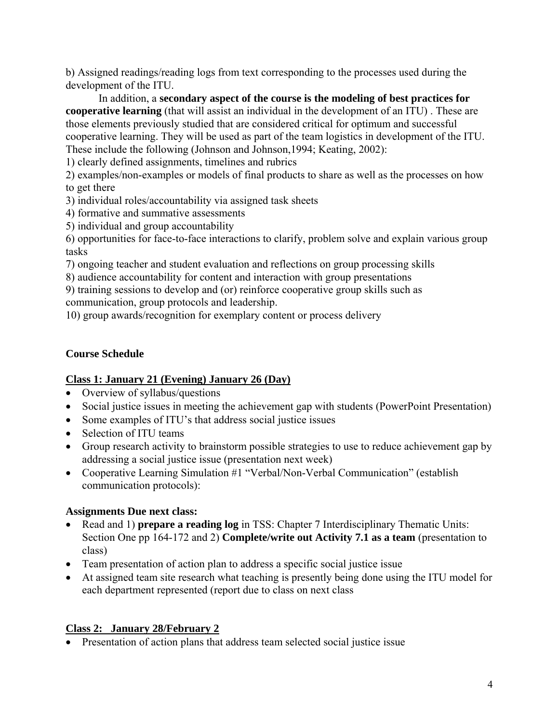b) Assigned readings/reading logs from text corresponding to the processes used during the development of the ITU.

In addition, a **secondary aspect of the course is the modeling of best practices for cooperative learning** (that will assist an individual in the development of an ITU) . These are those elements previously studied that are considered critical for optimum and successful cooperative learning. They will be used as part of the team logistics in development of the ITU. These include the following (Johnson and Johnson,1994; Keating, 2002):

1) clearly defined assignments, timelines and rubrics

2) examples/non-examples or models of final products to share as well as the processes on how to get there

3) individual roles/accountability via assigned task sheets

- 4) formative and summative assessments
- 5) individual and group accountability

6) opportunities for face-to-face interactions to clarify, problem solve and explain various group tasks

7) ongoing teacher and student evaluation and reflections on group processing skills

8) audience accountability for content and interaction with group presentations

9) training sessions to develop and (or) reinforce cooperative group skills such as communication, group protocols and leadership.

10) group awards/recognition for exemplary content or process delivery

## **Course Schedule**

## **Class 1: January 21 (Evening) January 26 (Day)**

- Overview of syllabus/questions
- Social justice issues in meeting the achievement gap with students (PowerPoint Presentation)
- Some examples of ITU's that address social justice issues
- Selection of ITU teams
- Group research activity to brainstorm possible strategies to use to reduce achievement gap by addressing a social justice issue (presentation next week)
- Cooperative Learning Simulation #1 "Verbal/Non-Verbal Communication" (establish communication protocols):

## **Assignments Due next class:**

- • Read and 1) **prepare a reading log** in TSS: Chapter 7 Interdisciplinary Thematic Units: Section One pp 164-172 and 2) **Complete/write out Activity 7.1 as a team** (presentation to class)
- Team presentation of action plan to address a specific social justice issue
- At assigned team site research what teaching is presently being done using the ITU model for each department represented (report due to class on next class

## **Class 2: January 28/February 2**

• Presentation of action plans that address team selected social justice issue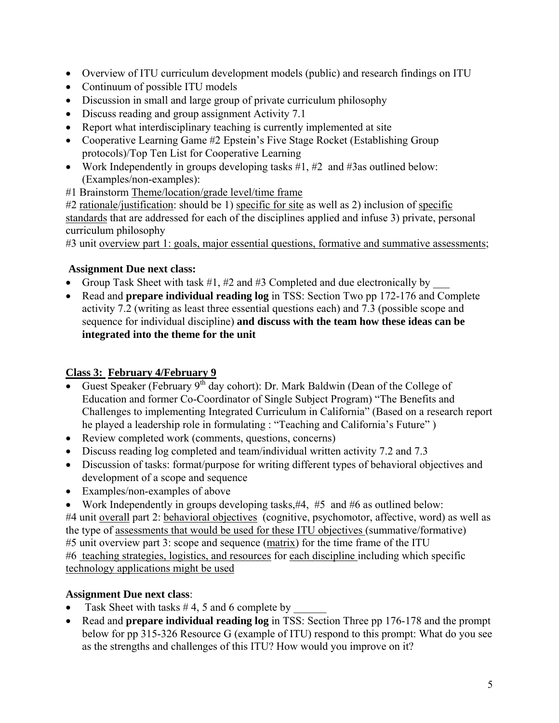- Overview of ITU curriculum development models (public) and research findings on ITU
- Continuum of possible ITU models
- Discussion in small and large group of private curriculum philosophy
- Discuss reading and group assignment Activity 7.1
- Report what interdisciplinary teaching is currently implemented at site
- Cooperative Learning Game #2 Epstein's Five Stage Rocket (Establishing Group protocols)/Top Ten List for Cooperative Learning
- Work Independently in groups developing tasks  $#1, #2$  and  $#3$ as outlined below: (Examples/non-examples):
- #1 Brainstorm Theme/location/grade level/time frame

#2 rationale/justification: should be 1) specific for site as well as 2) inclusion of specific standards that are addressed for each of the disciplines applied and infuse 3) private, personal curriculum philosophy

#3 unit overview part 1: goals, major essential questions, formative and summative assessments;

# **Assignment Due next class:**

- Group Task Sheet with task  $#1, #2$  and  $#3$  Completed and due electronically by
- Read and **prepare individual reading log** in TSS: Section Two pp 172-176 and Complete activity 7.2 (writing as least three essential questions each) and 7.3 (possible scope and sequence for individual discipline) **and discuss with the team how these ideas can be integrated into the theme for the unit**

# **Class 3: February 4/February 9**

- Guest Speaker (February  $9<sup>th</sup>$  day cohort): Dr. Mark Baldwin (Dean of the College of Education and former Co-Coordinator of Single Subject Program) "The Benefits and Challenges to implementing Integrated Curriculum in California" (Based on a research report he played a leadership role in formulating : "Teaching and California's Future" )
- Review completed work (comments, questions, concerns)
- Discuss reading log completed and team/individual written activity 7.2 and 7.3
- Discussion of tasks: format/purpose for writing different types of behavioral objectives and development of a scope and sequence
- Examples/non-examples of above
- Work Independently in groups developing tasks, #4, #5 and #6 as outlined below:

#4 unit overall part 2: behavioral objectives (cognitive, psychomotor, affective, word) as well as the type of assessments that would be used for these ITU objectives (summative/formative) #5 unit overview part 3: scope and sequence (matrix) for the time frame of the ITU #6 teaching strategies, logistics, and resources for each discipline including which specific technology applications might be used

# **Assignment Due next class**:

- Task Sheet with tasks  $#4$ , 5 and 6 complete by
- • Read and **prepare individual reading log** in TSS: Section Three pp 176-178 and the prompt below for pp 315-326 Resource G (example of ITU) respond to this prompt: What do you see as the strengths and challenges of this ITU? How would you improve on it?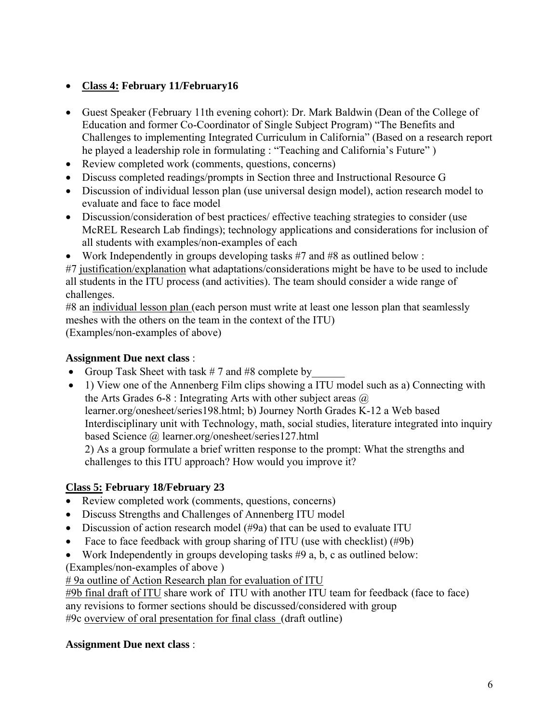# • **Class 4: February 11/February16**

- Guest Speaker (February 11th evening cohort): Dr. Mark Baldwin (Dean of the College of Education and former Co-Coordinator of Single Subject Program) "The Benefits and Challenges to implementing Integrated Curriculum in California" (Based on a research report he played a leadership role in formulating : "Teaching and California's Future" )
- Review completed work (comments, questions, concerns)
- Discuss completed readings/prompts in Section three and Instructional Resource G
- Discussion of individual lesson plan (use universal design model), action research model to evaluate and face to face model
- Discussion/consideration of best practices/ effective teaching strategies to consider (use McREL Research Lab findings); technology applications and considerations for inclusion of all students with examples/non-examples of each
- Work Independently in groups developing tasks #7 and #8 as outlined below :

#7 justification/explanation what adaptations/considerations might be have to be used to include all students in the ITU process (and activities). The team should consider a wide range of challenges.

#8 an individual lesson plan (each person must write at least one lesson plan that seamlessly meshes with the others on the team in the context of the ITU) (Examples/non-examples of above)

### **Assignment Due next class** :

- Group Task Sheet with task # 7 and #8 complete by
- based Science @ learner.org/onesheet/series127.html • 1) View one of the Annenberg Film clips showing a ITU model such as a) Connecting with the Arts Grades 6-8 : Integrating Arts with other subject areas  $\omega$ learner.org/onesheet/series198.html; b) Journey North Grades K-12 a Web based Interdisciplinary unit with Technology, math, social studies, literature integrated into inquiry 2) As a group formulate a brief written response to the prompt: What the strengths and challenges to this ITU approach? How would you improve it?

## **Class 5: February 18/February 23**

- Review completed work (comments, questions, concerns)
- Discuss Strengths and Challenges of Annenberg ITU model
- Discussion of action research model (#9a) that can be used to evaluate ITU
- Face to face feedback with group sharing of ITU (use with checklist) (#9b)
- Work Independently in groups developing tasks #9 a, b, c as outlined below:

(Examples/non-examples of above )

# 9a outline of Action Research plan for evaluation of ITU

#9b final draft of ITU share work of ITU with another ITU team for feedback (face to face) any revisions to former sections should be discussed/considered with group #9c overview of oral presentation for final class (draft outline)

### **Assignment Due next class** :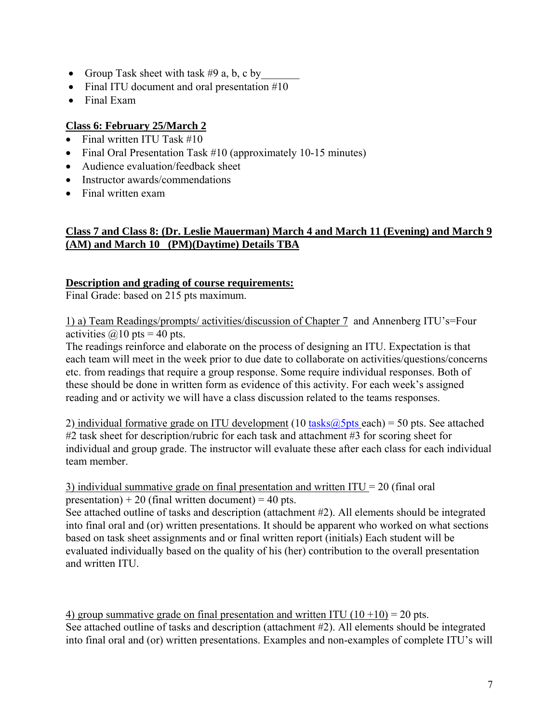- Group Task sheet with task #9 a, b, c by
- Final ITU document and oral presentation #10
- Final Exam

### **Class 6: February 25/March 2**

- Final written ITU Task #10
- Final Oral Presentation Task #10 (approximately 10-15 minutes)
- Audience evaluation/feedback sheet
- Instructor awards/commendations
- Final written exam

### **Class 7 and Class 8: (Dr. Leslie Mauerman) March 4 and March 11 (Evening) and March 9 (AM) and March 10 (PM)(Daytime) Details TBA**

### **Description and grading of course requirements:**

Final Grade: based on 215 pts maximum.

1) a) Team Readings/prompts/ activities/discussion of Chapter 7 and Annenberg ITU's=Four activities  $\omega$ 10 pts = 40 pts.

The readings reinforce and elaborate on the process of designing an ITU. Expectation is that each team will meet in the week prior to due date to collaborate on activities/questions/concerns etc. from readings that require a group response. Some require individual responses. Both of these should be done in written form as evidence of this activity. For each week's assigned reading and or activity we will have a class discussion related to the teams responses.

2) individual formative grade on ITU development (10 tasks $(a)$ 5pts each) = 50 pts. See attached #2 task sheet for description/rubric for each task and attachment #3 for scoring sheet for individual and group grade. The instructor will evaluate these after each class for each individual team member.

3) individual summative grade on final presentation and written ITU = 20 (final oral presentation)  $+ 20$  (final written document)  $= 40$  pts.

See attached outline of tasks and description (attachment #2). All elements should be integrated into final oral and (or) written presentations. It should be apparent who worked on what sections based on task sheet assignments and or final written report (initials) Each student will be evaluated individually based on the quality of his (her) contribution to the overall presentation and written ITU.

4) group summative grade on final presentation and written ITU ( $10 + 10$ ) = 20 pts. See attached outline of tasks and description (attachment #2). All elements should be integrated into final oral and (or) written presentations. Examples and non-examples of complete ITU's will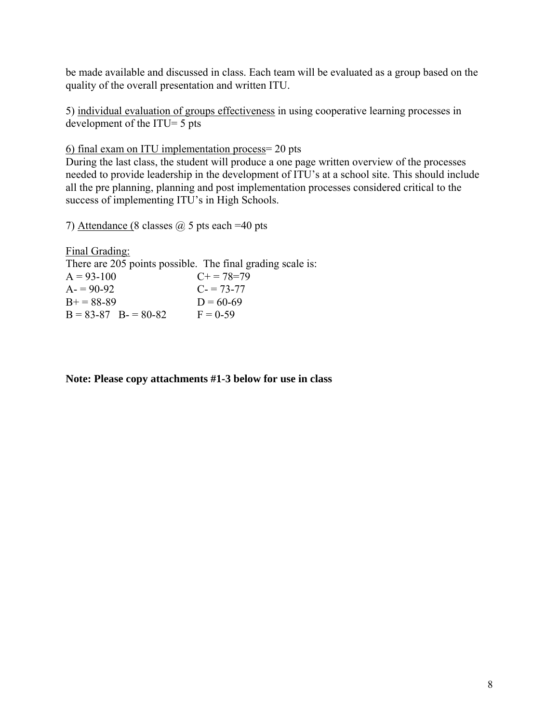be made available and discussed in class. Each team will be evaluated as a group based on the quality of the overall presentation and written ITU.

5) individual evaluation of groups effectiveness in using cooperative learning processes in development of the ITU= 5 pts

6) final exam on ITU implementation process= 20 pts

During the last class, the student will produce a one page written overview of the processes needed to provide leadership in the development of ITU's at a school site. This should include all the pre planning, planning and post implementation processes considered critical to the success of implementing ITU's in High Schools.

7) Attendance (8 classes  $\omega$  5 pts each =40 pts

Final Grading: There are 205 points possible. The final grading scale is:  $A = 93-100$   $C+=78=79$  $A = 90-92$   $C = 73-77$  $B+=88-89$  D = 60-69  $B = 83-87$   $B = 80-82$   $F = 0-59$ 

**Note: Please copy attachments #1-3 below for use in class**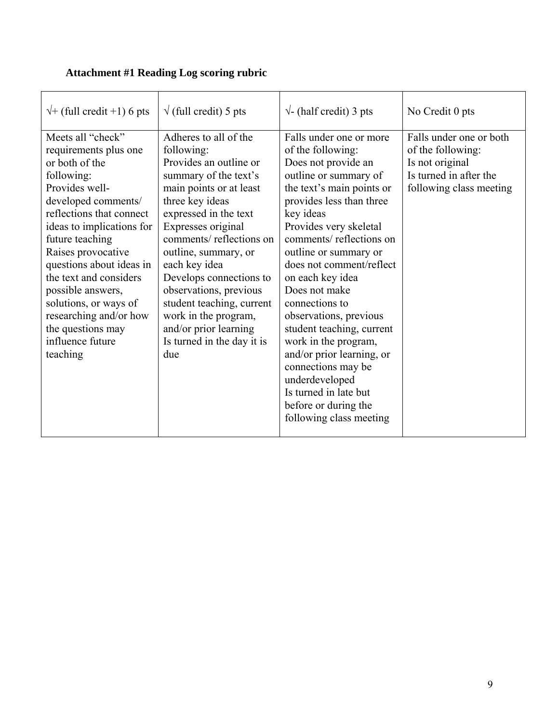# **Attachment #1 Reading Log scoring rubric**

| $\sqrt{+}$ (full credit +1) 6 pts                                                                                                                                                                                                                                                                                                                                                                        | $\sqrt{\text{(full credit)}}$ 5 pts                                                                                                                                                                                                                                                                                                                                                                                             | $\sqrt{\ }$ - (half credit) 3 pts                                                                                                                                                                                                                                                                                                                                                                                                                                                                                                                                   | No Credit 0 pts                                                                                                      |
|----------------------------------------------------------------------------------------------------------------------------------------------------------------------------------------------------------------------------------------------------------------------------------------------------------------------------------------------------------------------------------------------------------|---------------------------------------------------------------------------------------------------------------------------------------------------------------------------------------------------------------------------------------------------------------------------------------------------------------------------------------------------------------------------------------------------------------------------------|---------------------------------------------------------------------------------------------------------------------------------------------------------------------------------------------------------------------------------------------------------------------------------------------------------------------------------------------------------------------------------------------------------------------------------------------------------------------------------------------------------------------------------------------------------------------|----------------------------------------------------------------------------------------------------------------------|
| Meets all "check"<br>requirements plus one<br>or both of the<br>following:<br>Provides well-<br>developed comments/<br>reflections that connect<br>ideas to implications for<br>future teaching<br>Raises provocative<br>questions about ideas in<br>the text and considers<br>possible answers,<br>solutions, or ways of<br>researching and/or how<br>the questions may<br>influence future<br>teaching | Adheres to all of the<br>following:<br>Provides an outline or<br>summary of the text's<br>main points or at least<br>three key ideas<br>expressed in the text<br>Expresses original<br>comments/reflections on<br>outline, summary, or<br>each key idea<br>Develops connections to<br>observations, previous<br>student teaching, current<br>work in the program,<br>and/or prior learning<br>Is turned in the day it is<br>due | Falls under one or more<br>of the following:<br>Does not provide an<br>outline or summary of<br>the text's main points or<br>provides less than three<br>key ideas<br>Provides very skeletal<br>comments/reflections on<br>outline or summary or<br>does not comment/reflect<br>on each key idea<br>Does not make<br>connections to<br>observations, previous<br>student teaching, current<br>work in the program,<br>and/or prior learning, or<br>connections may be<br>underdeveloped<br>Is turned in late but<br>before or during the<br>following class meeting | Falls under one or both<br>of the following:<br>Is not original<br>Is turned in after the<br>following class meeting |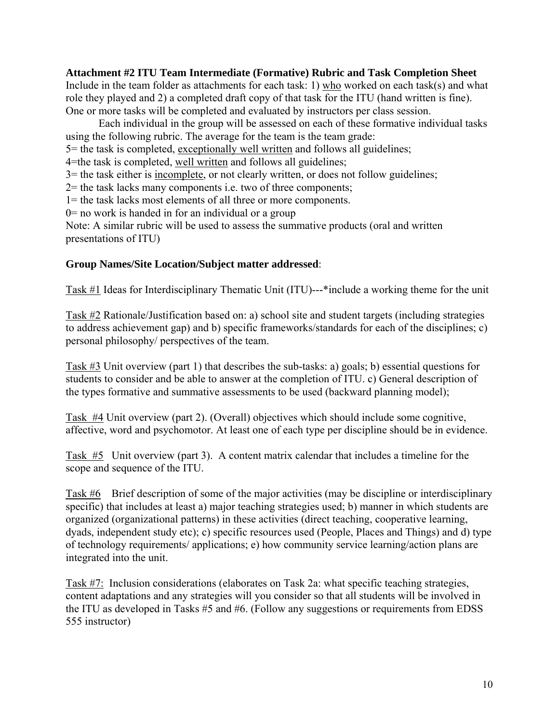**Attachment #2 ITU Team Intermediate (Formative) Rubric and Task Completion Sheet**  Include in the team folder as attachments for each task: 1) who worked on each task(s) and what role they played and 2) a completed draft copy of that task for the ITU (hand written is fine). One or more tasks will be completed and evaluated by instructors per class session.

Each individual in the group will be assessed on each of these formative individual tasks using the following rubric. The average for the team is the team grade:

5= the task is completed, exceptionally well written and follows all guidelines;

4=the task is completed, well written and follows all guidelines;

3= the task either is incomplete, or not clearly written, or does not follow guidelines;

2= the task lacks many components i.e. two of three components;

1= the task lacks most elements of all three or more components.

 $0=$  no work is handed in for an individual or a group

Note: A similar rubric will be used to assess the summative products (oral and written presentations of ITU)

### **Group Names/Site Location/Subject matter addressed**:

Task #1 Ideas for Interdisciplinary Thematic Unit (ITU)---\*include a working theme for the unit

Task #2 Rationale/Justification based on: a) school site and student targets (including strategies to address achievement gap) and b) specific frameworks/standards for each of the disciplines; c) personal philosophy/ perspectives of the team.

Task #3 Unit overview (part 1) that describes the sub-tasks: a) goals; b) essential questions for students to consider and be able to answer at the completion of ITU. c) General description of the types formative and summative assessments to be used (backward planning model);

Task #4 Unit overview (part 2). (Overall) objectives which should include some cognitive, affective, word and psychomotor. At least one of each type per discipline should be in evidence.

Task #5 Unit overview (part 3). A content matrix calendar that includes a timeline for the scope and sequence of the ITU.

Task #6 Brief description of some of the major activities (may be discipline or interdisciplinary specific) that includes at least a) major teaching strategies used; b) manner in which students are organized (organizational patterns) in these activities (direct teaching, cooperative learning, dyads, independent study etc); c) specific resources used (People, Places and Things) and d) type of technology requirements/ applications; e) how community service learning/action plans are integrated into the unit.

Task #7: Inclusion considerations (elaborates on Task 2a: what specific teaching strategies, content adaptations and any strategies will you consider so that all students will be involved in the ITU as developed in Tasks #5 and #6. (Follow any suggestions or requirements from EDSS 555 instructor)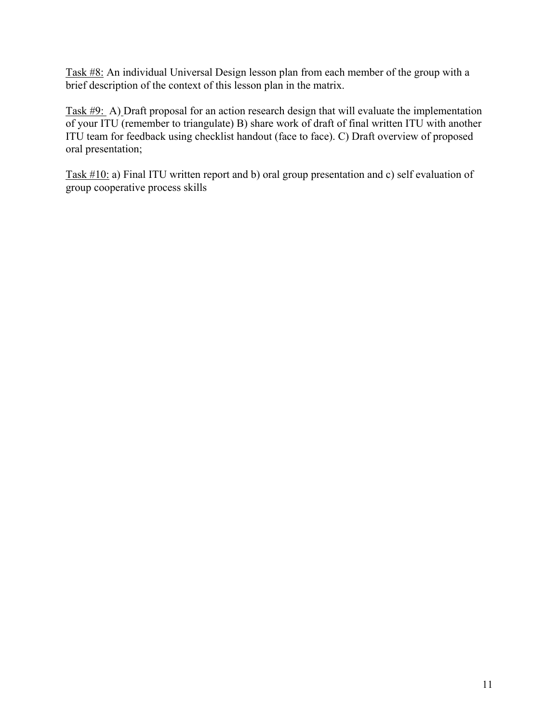Task #8: An individual Universal Design lesson plan from each member of the group with a brief description of the context of this lesson plan in the matrix.

Task #9: A) Draft proposal for an action research design that will evaluate the implementation of your ITU (remember to triangulate) B) share work of draft of final written ITU with another ITU team for feedback using checklist handout (face to face). C) Draft overview of proposed oral presentation;

Task #10: a) Final ITU written report and b) oral group presentation and c) self evaluation of group cooperative process skills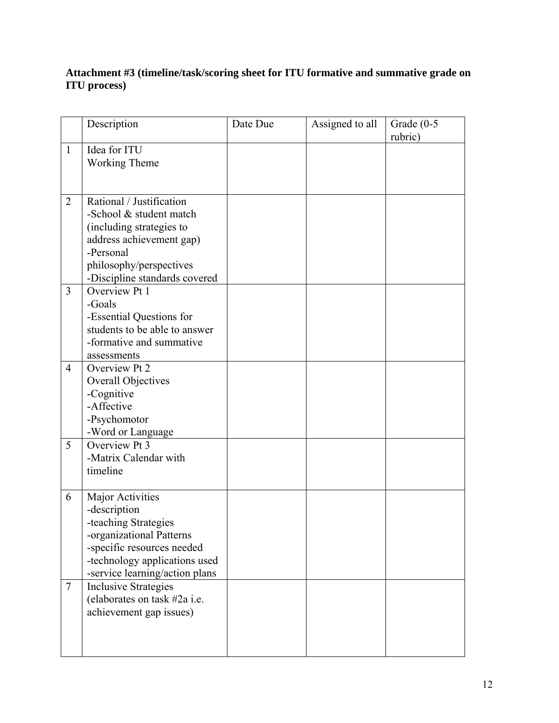# **Attachment #3 (timeline/task/scoring sheet for ITU formative and summative grade on ITU process)**

|                | Description                                             | Date Due | Assigned to all | Grade (0-5<br>rubric) |
|----------------|---------------------------------------------------------|----------|-----------------|-----------------------|
| $\mathbf{1}$   | Idea for ITU                                            |          |                 |                       |
|                | <b>Working Theme</b>                                    |          |                 |                       |
|                |                                                         |          |                 |                       |
| $\overline{2}$ | Rational / Justification<br>-School & student match     |          |                 |                       |
|                |                                                         |          |                 |                       |
|                | (including strategies to<br>address achievement gap)    |          |                 |                       |
|                | -Personal                                               |          |                 |                       |
|                | philosophy/perspectives                                 |          |                 |                       |
|                | -Discipline standards covered                           |          |                 |                       |
| 3              | Overview Pt 1                                           |          |                 |                       |
|                | -Goals                                                  |          |                 |                       |
|                | -Essential Questions for                                |          |                 |                       |
|                | students to be able to answer                           |          |                 |                       |
|                | -formative and summative                                |          |                 |                       |
|                | assessments                                             |          |                 |                       |
| $\overline{4}$ | Overview Pt 2                                           |          |                 |                       |
|                | Overall Objectives                                      |          |                 |                       |
|                | -Cognitive                                              |          |                 |                       |
|                | -Affective                                              |          |                 |                       |
|                | -Psychomotor                                            |          |                 |                       |
|                | -Word or Language                                       |          |                 |                       |
| 5              | Overview Pt 3                                           |          |                 |                       |
|                | -Matrix Calendar with                                   |          |                 |                       |
|                | timeline                                                |          |                 |                       |
| 6              | Major Activities                                        |          |                 |                       |
|                | -description                                            |          |                 |                       |
|                | -teaching Strategies                                    |          |                 |                       |
|                | -organizational Patterns                                |          |                 |                       |
|                | -specific resources needed                              |          |                 |                       |
|                | -technology applications used                           |          |                 |                       |
|                | -service learning/action plans                          |          |                 |                       |
| $\overline{7}$ | <b>Inclusive Strategies</b>                             |          |                 |                       |
|                | (elaborates on task #2a i.e.<br>achievement gap issues) |          |                 |                       |
|                |                                                         |          |                 |                       |
|                |                                                         |          |                 |                       |
|                |                                                         |          |                 |                       |